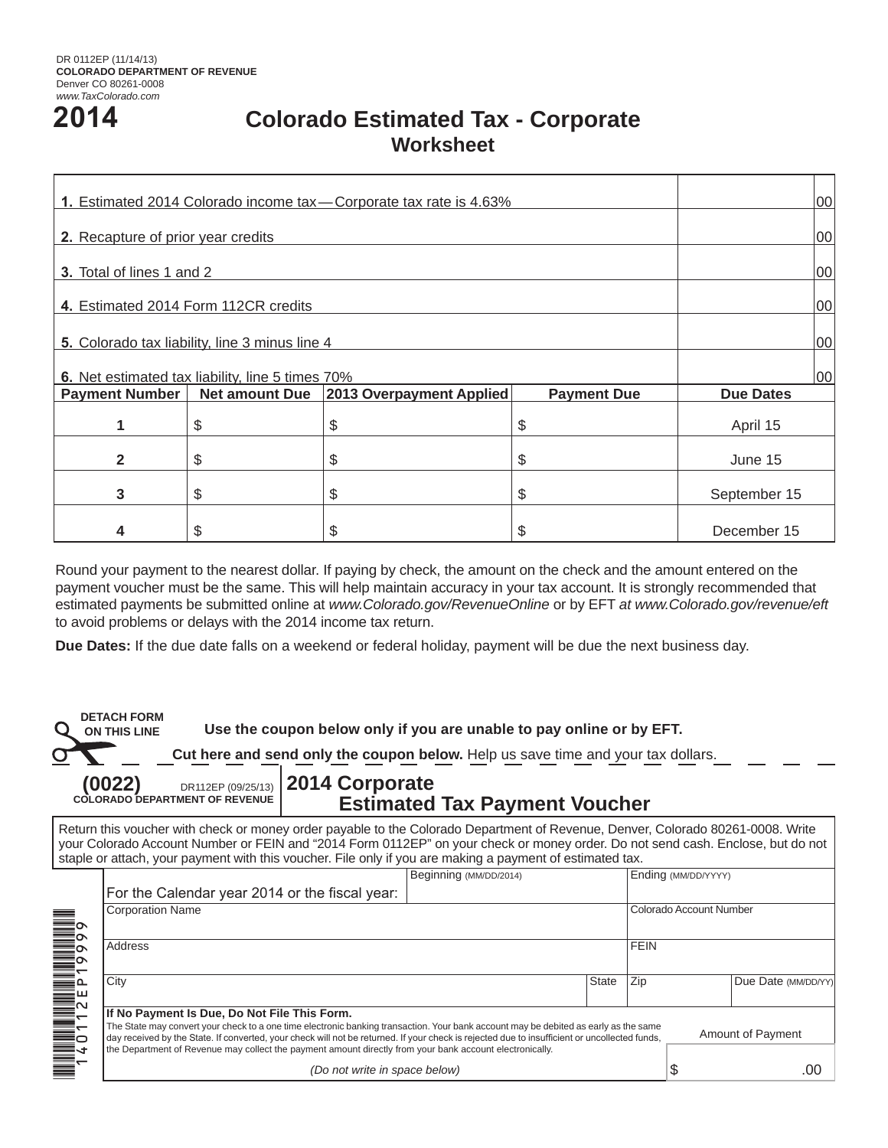# **2014**

## **Colorado Estimated Tax - Corporate Worksheet**

| 1. Estimated 2014 Colorado income tax - Corporate tax rate is 4.63% | 00                    |                          |                    |                  |  |
|---------------------------------------------------------------------|-----------------------|--------------------------|--------------------|------------------|--|
| 2. Recapture of prior year credits                                  | 00                    |                          |                    |                  |  |
| <b>3.</b> Total of lines 1 and 2                                    | 00                    |                          |                    |                  |  |
| 4. Estimated 2014 Form 112CR credits                                | 00                    |                          |                    |                  |  |
| 5. Colorado tax liability, line 3 minus line 4                      | 00                    |                          |                    |                  |  |
| 6. Net estimated tax liability, line 5 times 70%                    | 00                    |                          |                    |                  |  |
| <b>Payment Number</b>                                               | <b>Net amount Due</b> | 2013 Overpayment Applied | <b>Payment Due</b> | <b>Due Dates</b> |  |
| 1                                                                   | \$                    | \$                       | \$                 | April 15         |  |
| $\mathbf{2}$                                                        | \$                    | \$                       | \$                 | June 15          |  |
| 3                                                                   | \$                    | \$                       | \$                 | September 15     |  |
| 4                                                                   | \$.                   | \$                       | \$                 | December 15      |  |

Round your payment to the nearest dollar. If paying by check, the amount on the check and the amount entered on the payment voucher must be the same. This will help maintain accuracy in your tax account. It is strongly recommended that estimated payments be submitted online at *www.Colorado.gov/RevenueOnline* or by EFT *at www.Colorado.gov/revenue/eft*  to avoid problems or delays with the 2014 income tax return.

**Due Dates:** If the due date falls on a weekend or federal holiday, payment will be due the next business day.

**DETACH FORM ON THIS LINE** 

**Use the coupon below only if you are unable to pay online or by EFT.**

**Cut here and send only the coupon below.** Help us save time and your tax dollars.

**(0022)** DR112EP (09/25/13) **COLORADO DEPARTMENT OF REVENUE**

### **2014 Corporate Estimated Tax Payment Voucher**

Return this voucher with check or money order payable to the Colorado Department of Revenue, Denver, Colorado 80261-0008. Write your Colorado Account Number or FEIN and "2014 Form 0112EP" on your check or money order. Do not send cash. Enclose, but do not staple or attach, your payment with this voucher. File only if you are making a payment of estimated tax.

| Beginning (MM/DD/2014)                                                                                                                                                                                                                                                                |  | Ending (MM/DD/YYYY) |                         |                          |                     |  |
|---------------------------------------------------------------------------------------------------------------------------------------------------------------------------------------------------------------------------------------------------------------------------------------|--|---------------------|-------------------------|--------------------------|---------------------|--|
| For the Calendar year 2014 or the fiscal year:                                                                                                                                                                                                                                        |  |                     |                         |                          |                     |  |
| <b>Corporation Name</b>                                                                                                                                                                                                                                                               |  |                     | Colorado Account Number |                          |                     |  |
|                                                                                                                                                                                                                                                                                       |  |                     |                         |                          |                     |  |
| Address                                                                                                                                                                                                                                                                               |  | <b>FEIN</b>         |                         |                          |                     |  |
|                                                                                                                                                                                                                                                                                       |  |                     |                         |                          |                     |  |
| City                                                                                                                                                                                                                                                                                  |  | <b>State</b>        | Zip                     |                          | Due Date (MM/DD/YY) |  |
|                                                                                                                                                                                                                                                                                       |  |                     |                         |                          |                     |  |
| If No Payment Is Due, Do Not File This Form.                                                                                                                                                                                                                                          |  |                     |                         |                          |                     |  |
| The State may convert your check to a one time electronic banking transaction. Your bank account may be debited as early as the same<br>day received by the State. If converted, your check will not be returned. If your check is rejected due to insufficient or uncollected funds, |  |                     |                         | <b>Amount of Payment</b> |                     |  |
| the Department of Revenue may collect the payment amount directly from your bank account electronically.                                                                                                                                                                              |  |                     |                         |                          |                     |  |
| (Do not write in space below)                                                                                                                                                                                                                                                         |  |                     |                         | D                        | .00                 |  |